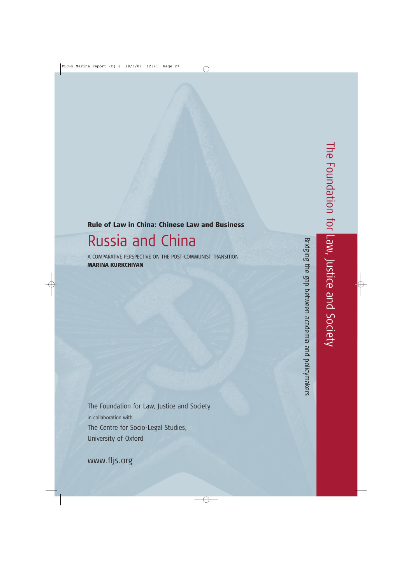# Rule of Law in China: Chinese Law and Business

# Russia and China

A COMPARATIVE PERSPECTIVE ON THE POST-COMMUNIST TRANSITION MARINA KURKCHIYAN

The Foundation for Law, Justice and Society in collaboration with The Centre for Socio-Legal Studies, University of Oxford

www.fljs.org

Bridging the gap between academia and policymakers Bridging the gap between academia and policymakers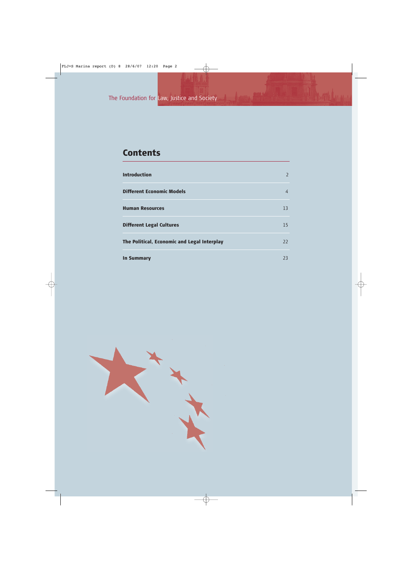The Foundation for Law, Justice and Society

# **Contents**

| <b>Introduction</b>                         | 2  |
|---------------------------------------------|----|
| <b>Different Economic Models</b>            | 4  |
| <b>Human Resources</b>                      | 13 |
| <b>Different Legal Cultures</b>             | 15 |
| The Political, Economic and Legal Interplay | 22 |
| <b>In Summary</b>                           | 23 |

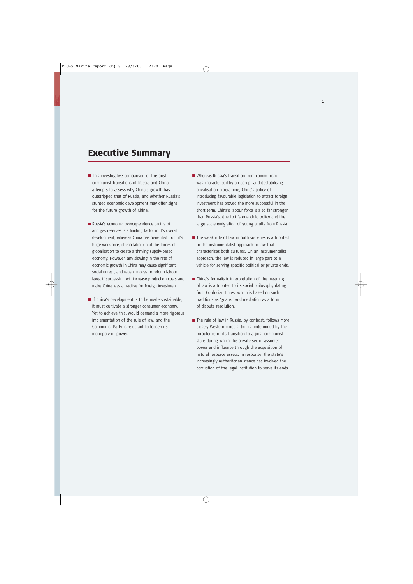### Executive Summary

- This investigative comparison of the postcommunist transitions of Russia and China attempts to assess why China's growth has outstripped that of Russia, and whether Russia's stunted economic development may offer signs for the future growth of China.
- Russia's economic overdependence on it's oil and gas reserves is a limiting factor in it's overall development, whereas China has benefited from it's huge workforce, cheap labour and the forces of globalisation to create a thriving supply-based economy. However, any slowing in the rate of economic growth in China may cause significant social unrest, and recent moves to reform labour laws, if successful, will increase production costs and make China less attractive for foreign investment.
- If China's development is to be made sustainable, it must cultivate a stronger consumer economy. Yet to achieve this, would demand a more rigorous implementation of the rule of law, and the Communist Party is reluctant to loosen its monopoly of power.
- Whereas Russia's transition from communism was characterised by an abrupt and destabilising privatisation programme, China's policy of introducing favourable legislation to attract foreign investment has proved the more successful in the short term. China's labour force is also far stronger than Russia's, due to it's one-child policy and the large-scale emigration of young adults from Russia.
- The weak rule of law in both societies is attributed to the instrumentalist approach to law that characterizes both cultures. On an instrumentalist approach, the law is reduced in large part to a vehicle for serving specific political or private ends.
- China's formalistic interpretation of the meaning of law is attributed to its social philosophy dating from Confucian times, which is based on such traditions as 'guanxi' and mediation as a form of dispute resolution.
- The rule of law in Russia, by contrast, follows more closely Western models, but is undermined by the turbulence of its transition to a post-communist state during which the private sector assumed power and influence through the acquisition of natural resource assets. In response, the state's increasingly authoritarian stance has involved the corruption of the legal institution to serve its ends.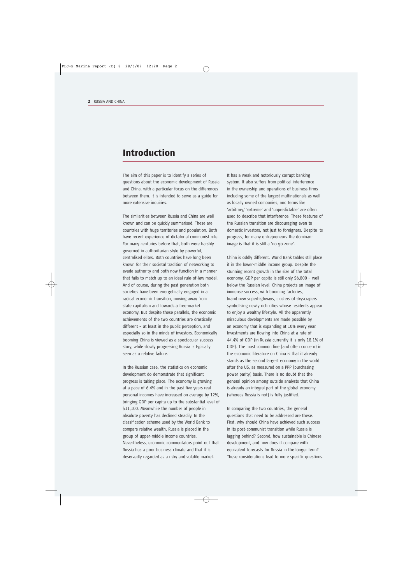### Introduction

The aim of this paper is to identify a series of questions about the economic development of Russia and China, with a particular focus on the differences between them. It is intended to serve as a guide for more extensive inquiries.

The similarities between Russia and China are well known and can be quickly summarised. These are countries with huge territories and population. Both have recent experience of dictatorial communist rule. For many centuries before that, both were harshly governed in authoritarian style by powerful, centralised elites. Both countries have long been known for their societal tradition of networking to evade authority and both now function in a manner that fails to match up to an ideal rule-of-law model. And of course, during the past generation both societies have been energetically engaged in a radical economic transition, moving away from state capitalism and towards a free-market economy. But despite these parallels, the economic achievements of the two countries are drastically different – at least in the public perception, and especially so in the minds of investors. Economically booming China is viewed as a spectacular success story, while slowly progressing Russia is typically seen as a relative failure.

In the Russian case, the statistics on economic development do demonstrate that significant progress is taking place. The economy is growing at a pace of 6.4% and in the past five years real personal incomes have increased on average by 12%, bringing GDP per capita up to the substantial level of \$11,100. Meanwhile the number of people in absolute poverty has declined steadily. In the classification scheme used by the World Bank to compare relative wealth, Russia is placed in the group of upper-middle income countries. Nevertheless, economic commentators point out that Russia has a poor business climate and that it is deservedly regarded as a risky and volatile market.

It has a weak and notoriously corrupt banking system. It also suffers from political interference in the ownership and operations of business firms including some of the largest multinationals as well as locally owned companies, and terms like 'arbitrary,' 'extreme' and 'unpredictable' are often used to describe that interference. These features of the Russian transition are discouraging even to domestic investors, not just to foreigners. Despite its progress, for many entrepreneurs the dominant image is that it is still a 'no go zone'.

China is oddly different. World Bank tables still place it in the lower-middle income group. Despite the stunning recent growth in the size of the total economy, GDP per capita is still only \$6,800 – well below the Russian level. China projects an image of immense success, with booming factories, brand new superhighways, clusters of skyscrapers symbolising newly rich cities whose residents appear to enjoy a wealthy lifestyle. All the apparently miraculous developments are made possible by an economy that is expanding at 10% every year. Investments are flowing into China at a rate of 44.4% of GDP (in Russia currently it is only 18.1% of GDP). The most common line (and often concern) in the economic literature on China is that it already stands as the second largest economy in the world after the US, as measured on a PPP (purchasing power parity) basis. There is no doubt that the general opinion among outside analysts that China is already an integral part of the global economy (whereas Russia is not) is fully justified.

In comparing the two countries, the general questions that need to be addressed are these. First, why should China have achieved such success in its post-communist transition while Russia is lagging behind? Second, how sustainable is Chinese development, and how does it compare with equivalent forecasts for Russia in the longer term? These considerations lead to more specific questions.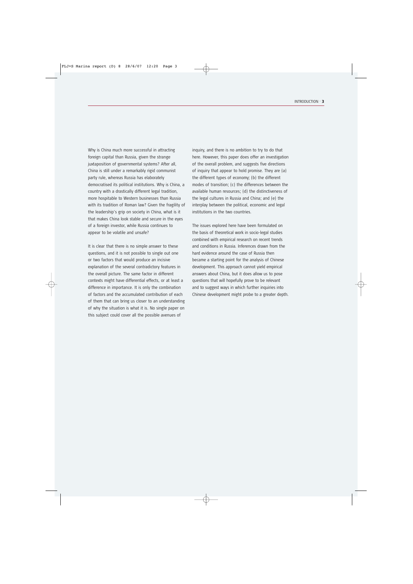Why is China much more successful in attracting foreign capital than Russia, given the strange juxtaposition of governmental systems? After all, China is still under a remarkably rigid communist party rule, whereas Russia has elaborately democratised its political institutions. Why is China, a country with a drastically different legal tradition, more hospitable to Western businesses than Russia with its tradition of Roman law? Given the fragility of the leadership's grip on society in China, what is it that makes China look stable and secure in the eyes of a foreign investor, while Russia continues to appear to be volatile and unsafe?

It is clear that there is no simple answer to these questions, and it is not possible to single out one or two factors that would produce an incisive explanation of the several contradictory features in the overall picture. The same factor in different contexts might have differential effects, or at least a difference in importance. It is only the combination of factors and the accumulated contribution of each of them that can bring us closer to an understanding of why the situation is what it is. No single paper on this subject could cover all the possible avenues of

inquiry, and there is no ambition to try to do that here. However, this paper does offer an investigation of the overall problem, and suggests five directions of inquiry that appear to hold promise. They are (a) the different types of economy; (b) the different modes of transition; (c) the differences between the available human resources; (d) the distinctiveness of the legal cultures in Russia and China; and (e) the interplay between the political, economic and legal institutions in the two countries.

The issues explored here have been formulated on the basis of theoretical work in socio-legal studies combined with empirical research on recent trends and conditions in Russia. Inferences drawn from the hard evidence around the case of Russia then became a starting point for the analysis of Chinese development. This approach cannot yield empirical answers about China, but it does allow us to pose questions that will hopefully prove to be relevant and to suggest ways in which further inquiries into Chinese development might probe to a greater depth.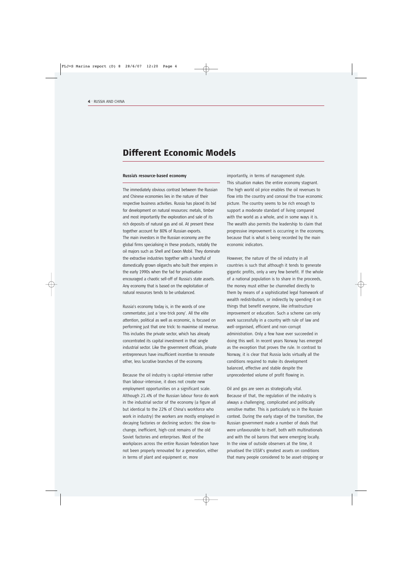## Different Economic Models

#### **Russia's resource-based economy**

The immediately obvious contrast between the Russian and Chinese economies lies in the nature of their respective business activities. Russia has placed its bid for development on natural resources: metals, timber and most importantly the exploration and sale of its rich deposits of natural gas and oil. At present these together account for 80% of Russian exports. The main investors in the Russian economy are the global firms specialising in these products, notably the oil majors such as Shell and Exxon Mobil. They dominate the extractive industries together with a handful of domestically grown oligarchs who built their empires in the early 1990s when the fad for privatisation encouraged a chaotic sell-off of Russia's state assets. Any economy that is based on the exploitation of natural resources tends to be unbalanced.

Russia's economy today is, in the words of one commentator, just a 'one-trick pony'. All the elite attention, political as well as economic, is focused on performing just that one trick: to maximise oil revenue. This includes the private sector, which has already concentrated its capital investment in that single industrial sector. Like the government officials, private entrepreneurs have insufficient incentive to renovate other, less lucrative branches of the economy.

Because the oil industry is capital-intensive rather than labour-intensive, it does not create new employment opportunities on a significant scale. Although 21.4% of the Russian labour force do work in the industrial sector of the economy (a figure all but identical to the 22% of China's workforce who work in industry) the workers are mostly employed in decaying factories or declining sectors: the slow-tochange, inefficient, high-cost remains of the old Soviet factories and enterprises. Most of the workplaces across the entire Russian federation have not been properly renovated for a generation, either in terms of plant and equipment or, more

importantly, in terms of management style. This situation makes the entire economy stagnant. The high world oil price enables the oil revenues to flow into the country and conceal the true economic picture. The country seems to be rich enough to support a moderate standard of living compared with the world as a whole, and in some ways it is. The wealth also permits the leadership to claim that progressive improvement is occurring in the economy, because that is what is being recorded by the main economic indicators.

However, the nature of the oil industry in all countries is such that although it tends to generate gigantic profits, only a very few benefit. If the whole of a national population is to share in the proceeds, the money must either be channelled directly to them by means of a sophisticated legal framework of wealth redistribution, or indirectly by spending it on things that benefit everyone, like infrastructure improvement or education. Such a scheme can only work successfully in a country with rule of law and well-organised, efficient and non-corrupt administration. Only a few have ever succeeded in doing this well. In recent years Norway has emerged as the exception that proves the rule. In contrast to Norway, it is clear that Russia lacks virtually all the conditions required to make its development balanced, effective and stable despite the unprecedented volume of profit flowing in.

Oil and gas are seen as strategically vital. Because of that, the regulation of the industry is always a challenging, complicated and politically sensitive matter. This is particularly so in the Russian context. During the early stage of the transition, the Russian government made a number of deals that were unfavourable to itself, both with multinationals and with the oil barons that were emerging locally. In the view of outside observers at the time, it privatised the USSR's greatest assets on conditions that many people considered to be asset-stripping or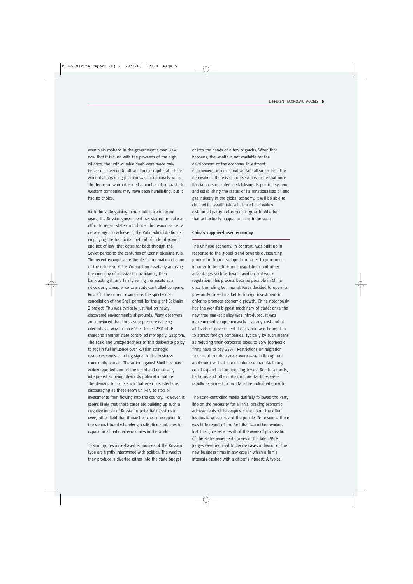even plain robbery. In the government's own view, now that it is flush with the proceeds of the high oil price, the unfavourable deals were made only because it needed to attract foreign capital at a time when its bargaining position was exceptionally weak. The terms on which it issued a number of contracts to Western companies may have been humiliating, but it had no choice.

With the state gaining more confidence in recent years, the Russian government has started to make an effort to regain state control over the resources lost a decade ago. To achieve it, the Putin administration is employing the traditional method of 'rule of power and not of law' that dates far back through the Soviet period to the centuries of Czarist absolute rule. The recent examples are the de facto renationalisation of the extensive Yukos Corporation assets by accusing the company of massive tax avoidance, then bankrupting it, and finally selling the assets at a ridiculously cheap price to a state-controlled company, Rosneft. The current example is the spectacular cancellation of the Shell permit for the giant Sakhalin-2 project. This was cynically justified on newlydiscovered environmentalist grounds. Many observers are convinced that this severe pressure is being exerted as a way to force Shell to sell 25% of its shares to another state controlled monopoly, Gasprom. The scale and unexpectedness of this deliberate policy to regain full influence over Russian strategic resources sends a chilling signal to the business community abroad. The action against Shell has been widely reported around the world and universally interpreted as being obviously political in nature. The demand for oil is such that even precedents as discouraging as these seem unlikely to stop oil investments from flowing into the country. However, it seems likely that these cases are building up such a negative image of Russia for potential investors in every other field that it may become an exception to the general trend whereby globalisation continues to expand in all national economies in the world.

To sum up, resource-based economies of the Russian type are tightly intertwined with politics. The wealth they produce is diverted either into the state budget

or into the hands of a few oligarchs. When that happens, the wealth is not available for the development of the economy. Investment, employment, incomes and welfare all suffer from the deprivation. There is of course a possibility that once Russia has succeeded in stabilising its political system and establishing the status of its renationalised oil and gas industry in the global economy, it will be able to channel its wealth into a balanced and widely distributed pattern of economic growth. Whether that will actually happen remains to be seen.

#### **China's supplier-based economy**

The Chinese economy, in contrast, was built up in response to the global trend towards outsourcing production from developed countries to poor ones, in order to benefit from cheap labour and other advantages such as lower taxation and weak regulation. This process became possible in China once the ruling Communist Party decided to open its previously closed market to foreign investment in order to promote economic growth. China notoriously has the world's biggest machinery of state; once the new free-market policy was introduced, it was implemented comprehensively – at any cost and at all levels of government. Legislation was brought in to attract foreign companies, typically by such means as reducing their corporate taxes to 15% (domestic firms have to pay 33%). Restrictions on migration from rural to urban areas were eased (though not abolished) so that labour-intensive manufacturing could expand in the booming towns. Roads, airports, harbours and other infrastructure facilities were rapidly expanded to facilitate the industrial growth.

The state-controlled media dutifully followed the Party line on the necessity for all this, praising economic achievements while keeping silent about the often legitimate grievances of the people. For example there was little report of the fact that ten million workers lost their jobs as a result of the wave of privatisation of the state-owned enterprises in the late 1990s. Judges were required to decide cases in favour of the new business firms in any case in which a firm's interests clashed with a citizen's interest. A typical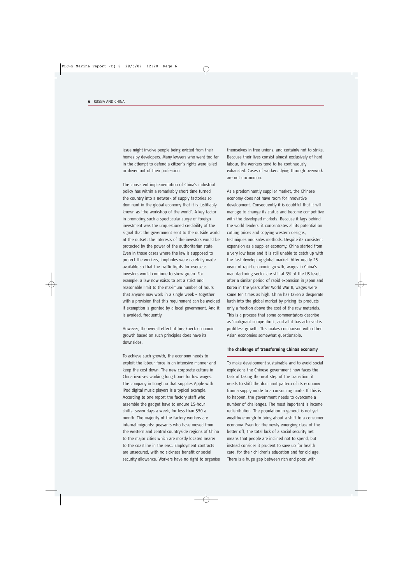issue might involve people being evicted from their homes by developers. Many lawyers who went too far in the attempt to defend a citizen's rights were jailed or driven out of their profession.

The consistent implementation of China's industrial policy has within a remarkably short time turned the country into a network of supply factories so dominant in the global economy that it is justifiably known as 'the workshop of the world'. A key factor in promoting such a spectacular surge of foreign investment was the unquestioned credibility of the signal that the government sent to the outside world at the outset: the interests of the investors would be protected by the power of the authoritarian state. Even in those cases where the law is supposed to protect the workers, loopholes were carefully made available so that the traffic lights for overseas investors would continue to show green. For example, a law now exists to set a strict and reasonable limit to the maximum number of hours that anyone may work in a single week – together with a provision that this requirement can be avoided if exemption is granted by a local government. And it is avoided, frequently.

However, the overall effect of breakneck economic growth based on such principles does have its downsides.

To achieve such growth, the economy needs to exploit the labour force in an intensive manner and keep the cost down. The new corporate culture in China involves working long hours for low wages. The company in Longhua that supplies Apple with iPod digital music players is a typical example. According to one report the factory staff who assemble the gadget have to endure 15-hour shifts, seven days a week, for less than \$50 a month. The majority of the factory workers are internal migrants: peasants who have moved from the western and central countryside regions of China to the major cities which are mostly located nearer to the coastline in the east. Employment contracts are unsecured, with no sickness benefit or social security allowance. Workers have no right to organise themselves in free unions, and certainly not to strike. Because their lives consist almost exclusively of hard labour, the workers tend to be continuously exhausted. Cases of workers dying through overwork are not uncommon.

As a predominantly supplier market, the Chinese economy does not have room for innovative development. Consequently it is doubtful that it will manage to change its status and become competitive with the developed markets. Because it lags behind the world leaders, it concentrates all its potential on cutting prices and copying western designs, techniques and sales methods. Despite its consistent expansion as a supplier economy, China started from a very low base and it is still unable to catch up with the fast-developing global market. After nearly 25 years of rapid economic growth, wages in China's manufacturing sector are still at 3% of the US level; after a similar period of rapid expansion in Japan and Korea in the years after World War II, wages were some ten times as high. China has taken a desperate lurch into the global market by pricing its products only a fraction above the cost of the raw materials. This is a process that some commentators describe as 'malignant competition', and all it has achieved is profitless growth. This makes comparison with other Asian economies somewhat questionable.

#### **The challenge of transforming China's economy**

To make development sustainable and to avoid social explosions the Chinese government now faces the task of taking the next step of the transition; it needs to shift the dominant pattern of its economy from a supply mode to a consuming mode. If this is to happen, the government needs to overcome a number of challenges. The most important is income redistribution. The population in general is not yet wealthy enough to bring about a shift to a consumer economy. Even for the newly emerging class of the better off, the total lack of a social security net means that people are inclined not to spend, but instead consider it prudent to save up for health care, for their children's education and for old age. There is a huge gap between rich and poor, with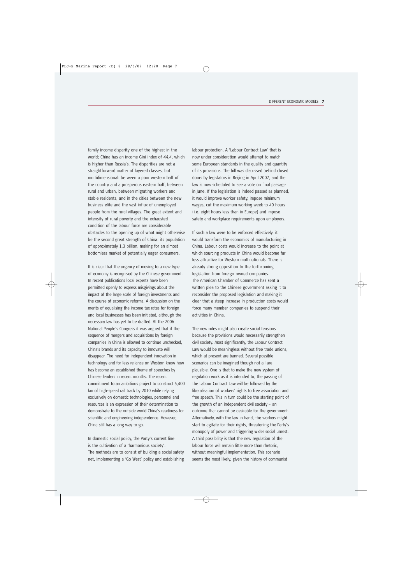family income disparity one of the highest in the world; China has an income Gini index of 44.4, which is higher than Russia's. The disparities are not a straightforward matter of layered classes, but multidimensional: between a poor western half of the country and a prosperous eastern half, between rural and urban, between migrating workers and stable residents, and in the cities between the new business elite and the vast influx of unemployed people from the rural villages. The great extent and intensity of rural poverty and the exhausted condition of the labour force are considerable obstacles to the opening up of what might otherwise be the second great strength of China: its population of approximately 1.3 billion, making for an almost bottomless market of potentially eager consumers.

It is clear that the urgency of moving to a new type of economy is recognised by the Chinese government. In recent publications local experts have been permitted openly to express misgivings about the impact of the large scale of foreign investments and the course of economic reforms. A discussion on the merits of equalising the income tax rates for foreign and local businesses has been initiated, although the necessary law has yet to be drafted. At the 2006 National People's Congress it was argued that if the sequence of mergers and acquisitions by foreign companies in China is allowed to continue unchecked, China's brands and its capacity to innovate will disappear. The need for independent innovation in technology and for less reliance on Western know-how has become an established theme of speeches by Chinese leaders in recent months. The recent commitment to an ambitious project to construct 5,400 km of high-speed rail track by 2010 while relying exclusively on domestic technologies, personnel and resources is an expression of their determination to demonstrate to the outside world China's readiness for scientific and engineering independence. However, China still has a long way to go.

In domestic social policy, the Party's current line is the cultivation of a 'harmonious society'. The methods are to consist of building a social safety net, implementing a 'Go West' policy and establishing

labour protection. A 'Labour Contract Law' that is now under consideration would attempt to match some European standards in the quality and quantity of its provisions. The bill was discussed behind closed doors by legislators in Beijing in April 2007, and the law is now scheduled to see a vote on final passage in June. If the legislation is indeed passed as planned, it would improve worker safety, impose minimum wages, cut the maximum working week to 40 hours (i.e. eight hours less than in Europe) and impose safety and workplace requirements upon employers.

If such a law were to be enforced effectively, it would transform the economics of manufacturing in China. Labour costs would increase to the point at which sourcing products in China would become far less attractive for Western multinationals. There is already strong opposition to the forthcoming legislation from foreign-owned companies. The American Chamber of Commerce has sent a written plea to the Chinese government asking it to reconsider the proposed legislation and making it clear that a steep increase in production costs would force many member companies to suspend their activities in China.

The new rules might also create social tensions because the provisions would necessarily strengthen civil society. Most significantly, the Labour Contract Law would be meaningless without free trade unions, which at present are banned. Several possible scenarios can be imagined though not all are plausible. One is that to make the new system of regulation work as it is intended to, the passing of the Labour Contract Law will be followed by the liberalisation of workers' rights to free association and free speech. This in turn could be the starting point of the growth of an independent civil society – an outcome that cannot be desirable for the government. Alternatively, with the law in hand, the workers might start to agitate for their rights, threatening the Party's monopoly of power and triggering wider social unrest. A third possibility is that the new regulation of the labour force will remain little more than rhetoric, without meaningful implementation. This scenario seems the most likely, given the history of communist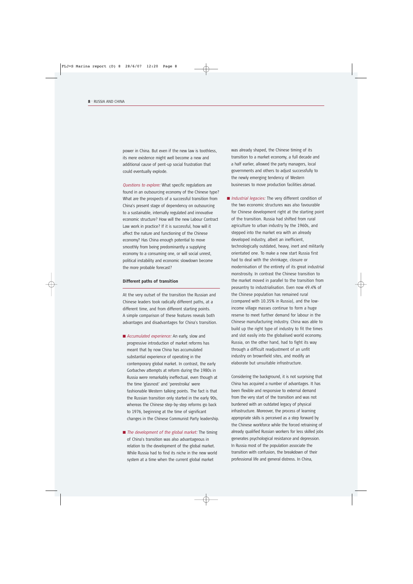power in China. But even if the new law is toothless, its mere existence might well become a new and additional cause of pent-up social frustration that could eventually explode.

*Questions to explore:* What specific regulations are found in an outsourcing economy of the Chinese type? What are the prospects of a successful transition from China's present stage of dependency on outsourcing to a sustainable, internally regulated and innovative economic structure? How will the new Labour Contract Law work in practice? If it is successful, how will it affect the nature and functioning of the Chinese economy? Has China enough potential to move smoothly from being predominantly a supplying economy to a consuming one, or will social unrest, political instability and economic slowdown become the more probable forecast?

#### **Different paths of transition**

At the very outset of the transition the Russian and Chinese leaders took radically different paths, at a different time, and from different starting points. A simple comparison of these features reveals both advantages and disadvantages for China's transition.

- *Accumulated experience:* An early, slow and progressive introduction of market reforms has meant that by now China has accumulated substantial experience of operating in the contemporary global market. In contrast, the early Gorbachev attempts at reform during the 1980s in Russia were remarkably ineffectual, even though at the time 'glasnost' and 'perestroika' were fashionable Western talking points. The fact is that the Russian transition only started in the early 90s, whereas the Chinese step-by-step reforms go back to 1976, beginning at the time of significant changes in the Chinese Communist Party leadership.
- *The development of the global market:* The timing of China's transition was also advantageous in relation to the development of the global market. While Russia had to find its niche in the new world system at a time when the current global market

was already shaped, the Chinese timing of its transition to a market economy, a full decade and a half earlier, allowed the party managers, local governments and others to adjust successfully to the newly emerging tendency of Western businesses to move production facilities abroad.

■ *Industrial legacies:* The very different condition of the two economic structures was also favourable for Chinese development right at the starting point of the transition. Russia had shifted from rural agriculture to urban industry by the 1960s, and stepped into the market era with an already developed industry, albeit an inefficient, technologically outdated, heavy, inert and militarily orientated one. To make a new start Russia first had to deal with the shrinkage, closure or modernisation of the entirety of its great industrial monstrosity. In contrast the Chinese transition to the market moved in parallel to the transition from peasantry to industrialisation. Even now 49.4% of the Chinese population has remained rural (compared with 10.35% in Russia), and the lowincome village masses continue to form a huge reserve to meet further demand for labour in the Chinese manufacturing industry. China was able to build up the right type of industry to fit the times and slot easily into the globalised world economy. Russia, on the other hand, had to fight its way through a difficult readjustment of an unfit industry on brownfield sites, and modify an elaborate but unsuitable infrastructure.

Considering the background, it is not surprising that China has acquired a number of advantages. It has been flexible and responsive to external demand from the very start of the transition and was not burdened with an outdated legacy of physical infrastructure. Moreover, the process of learning appropriate skills is perceived as a step forward by the Chinese workforce while the forced retraining of already qualified Russian workers for less skilled jobs generates psychological resistance and depression. In Russia most of the population associate the transition with confusion, the breakdown of their professional life and general distress. In China,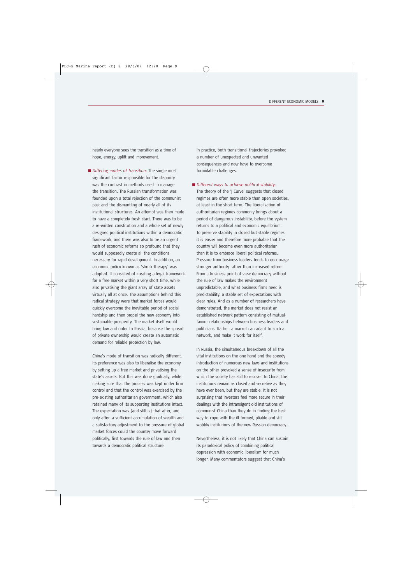nearly everyone sees the transition as a time of hope, energy, uplift and improvement.

■ *Differing modes of transition:* The single most significant factor responsible for the disparity was the contrast in methods used to manage the transition. The Russian transformation was founded upon a total rejection of the communist past and the dismantling of nearly all of its institutional structures. An attempt was then made to have a completely fresh start. There was to be a re-written constitution and a whole set of newly designed political institutions within a democratic framework, and there was also to be an urgent rush of economic reforms so profound that they would supposedly create all the conditions necessary for rapid development. In addition, an economic policy known as 'shock therapy' was adopted. It consisted of creating a legal framework for a free market within a very short time, while also privatising the giant array of state assets virtually all at once. The assumptions behind this radical strategy were that market forces would quickly overcome the inevitable period of social hardship and then propel the new economy into sustainable prosperity. The market itself would bring law and order to Russia, because the spread of private ownership would create an automatic demand for reliable protection by law.

China's mode of transition was radically different. Its preference was also to liberalise the economy by setting up a free market and privatising the state's assets. But this was done gradually, while making sure that the process was kept under firm control and that the control was exercised by the pre-existing authoritarian government, which also retained many of its supporting institutions intact. The expectation was (and still is) that after, and only after, a sufficient accumulation of wealth and a satisfactory adjustment to the pressure of global market forces could the country move forward politically, first towards the rule of law and then towards a democratic political structure.

In practice, both transitional trajectories provoked a number of unexpected and unwanted consequences and now have to overcome formidable challenges.

#### ■ *Different ways to achieve political stability:*

The theory of the 'J Curve' suggests that closed regimes are often more stable than open societies, at least in the short term. The liberalisation of authoritarian regimes commonly brings about a period of dangerous instability, before the system returns to a political and economic equilibrium. To preserve stability in closed but stable regimes, it is easier and therefore more probable that the country will become even more authoritarian than it is to embrace liberal political reforms. Pressure from business leaders tends to encourage stronger authority rather than increased reform. From a business point of view democracy without the rule of law makes the environment unpredictable, and what business firms need is predictability: a stable set of expectations with clear rules. And as a number of researchers have demonstrated, the market does not resist an established network pattern consisting of mutualfavour relationships between business leaders and politicians. Rather, a market can adapt to such a network, and make it work for itself.

In Russia, the simultaneous breakdown of all the vital institutions on the one hand and the speedy introduction of numerous new laws and institutions on the other provoked a sense of insecurity from which the society has still to recover. In China, the institutions remain as closed and secretive as they have ever been, but they are stable. It is not surprising that investors feel more secure in their dealings with the intransigent old institutions of communist China than they do in finding the best way to cope with the ill-formed, pliable and still wobbly institutions of the new Russian democracy.

Nevertheless, it is not likely that China can sustain its paradoxical policy of combining political oppression with economic liberalism for much longer. Many commentators suggest that China's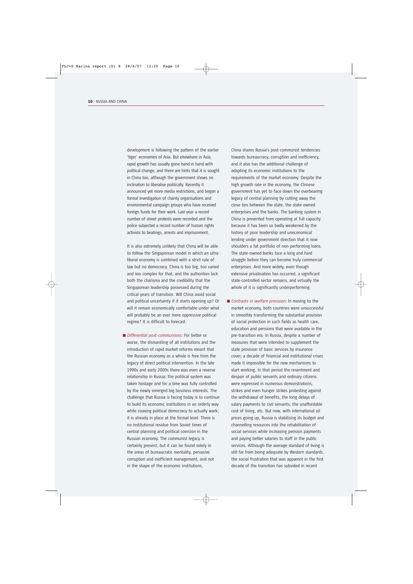development is following the pattern of the earlier 'tiger' economies of Asia. But elsewhere in Asia, rapid growth has usually gone hand in hand with political change, and there are hints that it is sought in China too, although the government shows no inclination to liberalise politically. Recently it announced yet more media restrictions, and began a formal investigation of charity organisations and environmental campaign groups who have received foreign funds for their work. Last year a record number of street protests were recorded and the police subjected a record number of human rights activists to beatings, arrests and imprisonment.

It is also extremely unlikely that China will be able to follow the Singaporean model in which an ultraliberal economy is combined with a strict rule of law but no democracy. China is too big, too varied and too complex for that, and the authorities lack both the charisma and the credibility that the Singaporean leadership possessed during the critical years of transition. Will China avoid social and political uncertainty if it starts opening up? Or will it remain economically comfortable under what will probably be an ever more oppressive political regime? It is difficult to forecast.

■ *Differential post-communisms:* For better or worse, the dismantling of all institutions and the introduction of rapid market reforms meant that the Russian economy as a whole is free from the legacy of direct political intervention. In the late 1990s and early 2000s there was even a reverse relationship in Russia: the political system was taken hostage and for a time was fully controlled by the newly emerged big business interests. The challenge that Russia is facing today is to continue to build its economic institutions in an orderly way while coaxing political democracy to actually work; it is already in place at the formal level. There is no institutional residue from Soviet times of central planning and political coercion in the Russian economy. The communist legacy is certainly present, but it can be found solely in the areas of bureaucratic mentality, pervasive corruption and inefficient management, and not in the shape of the economic institutions.

China shares Russia's post-communist tendencies towards bureaucracy, corruption and inefficiency, and it also has the additional challenge of adapting its economic institutions to the requirements of the market economy. Despite the high growth rate in the economy, the Chinese government has yet to face down the overbearing legacy of central planning by cutting away the close ties between the state, the state-owned enterprises and the banks. The banking system in China is prevented from operating at full capacity because it has been so badly weakened by the history of poor leadership and uneconomical lending under government direction that it now shoulders a fat portfolio of non-performing loans. The state-owned banks face a long and hard struggle before they can become truly commercial enterprises. And more widely, even though extensive privatisation has occurred, a significant state-controlled sector remains, and virtually the whole of it is significantly underperforming.

■ *Contrasts in welfare provision:* In moving to the market economy, both countries were unsuccessful in smoothly transforming the substantial provision of social protection in such fields as health care, education and pensions that were available in the pre-transition era. In Russia, despite a number of measures that were intended to supplement the state provision of basic services by insurance cover, a decade of financial and institutional crises made it impossible for the new mechanisms to start working. In that period the resentment and despair of public servants and ordinary citizens were expressed in numerous demonstrations, strikes and even hunger strikes protesting against the withdrawal of benefits, the long delays of salary payments to civil servants, the unaffordable cost of living, etc. But now, with international oil prices going up, Russia is stabilising its budget and channelling resources into the rehabilitation of social services while increasing pension payments and paying better salaries to staff in the public services. Although the average standard of living is still far from being adequate by Western standards, the social frustration that was apparent in the first decade of the transition has subsided in recent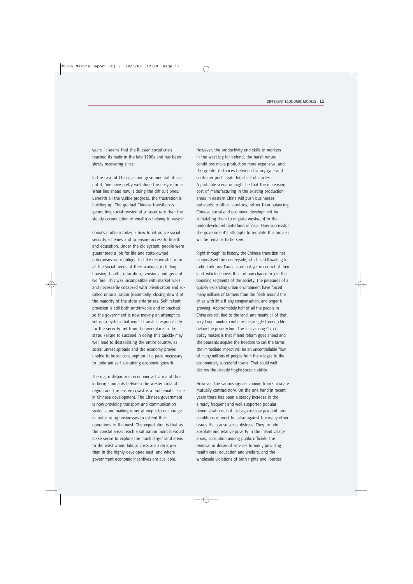years. It seems that the Russian social crisis reached its nadir in the late 1990s and has been slowly recovering since.

In the case of China, as one governmental official put it, 'we have pretty well done the easy reforms. What lies ahead now is doing the difficult ones.' Beneath all the visible progress, the frustration is building up. The gradual Chinese transition is generating social tension at a faster rate than the steady accumulation of wealth is helping to ease it.

China's problem today is how to introduce social security schemes and to ensure access to health and education. Under the old system, people were guaranteed a job for life and state-owned enterprises were obliged to take responsibility for all the social needs of their workers, including housing, health, education, pensions and general welfare. This was incompatible with market rules and necessarily collapsed with privatisation and socalled rationalisation (essentially, closing down) of the majority of the state enterprises. Self-reliant provision is still both unthinkable and impractical, so the government is now making an attempt to set up a system that would transfer responsibility for the security net from the workplace to the state. Failure to succeed in doing this quickly may well lead to destabilising the entire country, as social unrest spreads and the economy proves unable to boost consumption at a pace necessary to underpin self-sustaining economic growth.

The major disparity in economic activity and thus in living standards between the western inland region and the eastern coast is a problematic issue in Chinese development. The Chinese government is now providing transport and communication systems and making other attempts to encourage manufacturing businesses to extend their operations to the west. The expectation is that as the coastal areas reach a saturation point it would make sense to explore the much larger land areas to the west where labour costs are 25% lower than in the highly developed east, and where government economic incentives are available.

However, the productivity and skills of workers in the west lag far behind, the harsh natural conditions make production more expensive, and the greater distances between factory gate and container port create logistical obstacles. A probable scenario might be that the increasing cost of manufacturing in the existing production areas in eastern China will push businesses outwards to other countries, rather than balancing Chinese social and economic development by stimulating them to migrate westward to the underdeveloped hinterland of Asia. How successful the government's attempts to regulate this process will be remains to be seen.

Right through its history, the Chinese transition has marginalised the countryside, which is still waiting for radical reforms. Farmers are not yet in control of their land, which deprives them of any chance to join the booming segments of the society. The pressures of a quickly expanding urban environment have forced many millions of farmers from the fields around the cities with little if any compensation, and anger is growing. Approximately half of all the people in China are still tied to the land, and nearly all of that very large number continue to struggle through life below the poverty line. The fear among China's policy makers is that if land reform goes ahead and the peasants acquire the freedom to sell the farms, the immediate impact will be an uncontrollable flow of many millions of people from the villages to the economically successful towns. That could well destroy the already fragile social stability.

However, the various signals coming from China are mutually contradictory. On the one hand in recent years there has been a steady increase in the already frequent and well-supported popular demonstrations, not just against low pay and poor conditions of work but also against the many other issues that cause social distress. They include absolute and relative poverty in the inland village areas, corruption among public officials, the removal or decay of services formerly providing health care, education and welfare, and the wholesale violations of both rights and liberties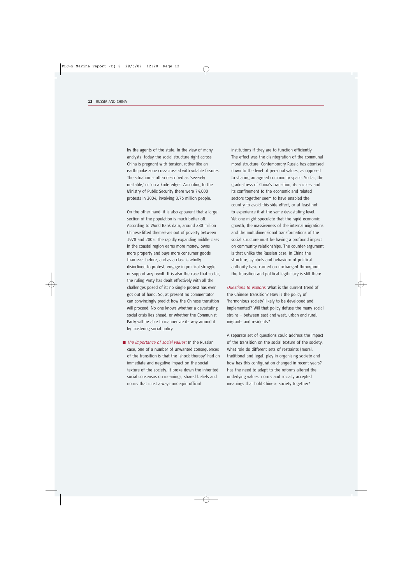by the agents of the state. In the view of many analysts, today the social structure right across China is pregnant with tension, rather like an earthquake zone criss-crossed with volatile fissures. The situation is often described as 'severely unstable,' or 'on a knife edge'. According to the Ministry of Public Security there were 74,000 protests in 2004, involving 3.76 million people.

On the other hand, it is also apparent that a large section of the population is much better off. According to World Bank data, around 280 million Chinese lifted themselves out of poverty between 1978 and 2005. The rapidly expanding middle class in the coastal region earns more money, owns more property and buys more consumer goods than ever before, and as a class is wholly disinclined to protest, engage in political struggle or support any revolt. It is also the case that so far, the ruling Party has dealt effectively with all the challenges posed of it; no single protest has ever got out of hand. So, at present no commentator can convincingly predict how the Chinese transition will proceed. No one knows whether a devastating social crisis lies ahead, or whether the Communist Party will be able to manoeuvre its way around it by mastering social policy.

■ *The importance of social values:* In the Russian case, one of a number of unwanted consequences of the transition is that the 'shock therapy' had an immediate and negative impact on the social texture of the society. It broke down the inherited social consensus on meanings, shared beliefs and norms that must always underpin official

institutions if they are to function efficiently. The effect was the disintegration of the communal moral structure. Contemporary Russia has atomised down to the level of personal values, as opposed to sharing an agreed community space. So far, the gradualness of China's transition, its success and its confinement to the economic and related sectors together seem to have enabled the country to avoid this side effect, or at least not to experience it at the same devastating level. Yet one might speculate that the rapid economic growth, the massiveness of the internal migrations and the multidimensional transformations of the social structure must be having a profound impact on community relationships. The counter-argument is that unlike the Russian case, in China the structure, symbols and behaviour of political authority have carried on unchanged throughout the transition and political legitimacy is still there.

*Questions to explore:* What is the current trend of the Chinese transition? How is the policy of 'harmonious society' likely to be developed and implemented? Will that policy defuse the many social strains – between east and west, urban and rural, migrants and residents?

A separate set of questions could address the impact of the transition on the social texture of the society. What role do different sets of restraints (moral, traditional and legal) play in organising society and how has this configuration changed in recent years? Has the need to adapt to the reforms altered the underlying values, norms and socially accepted meanings that hold Chinese society together?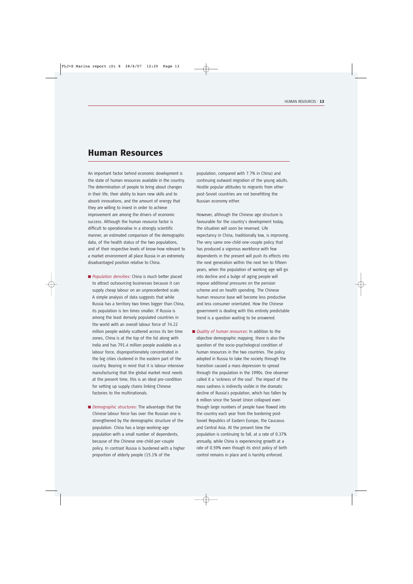### Human Resources

An important factor behind economic development is the state of human resources available in the country. The determination of people to bring about changes in their life, their ability to learn new skills and to absorb innovations, and the amount of energy that they are willing to invest in order to achieve improvement are among the drivers of economic success. Although the human resource factor is difficult to operationalise in a strongly scientific manner, an estimated comparison of the demographic data, of the health status of the two populations, and of their respective levels of know-how relevant to a market environment all place Russia in an extremely disadvantaged position relative to China.

- *Population densities:* China is much better placed to attract outsourcing businesses because it can supply cheap labour on an unprecedented scale. A simple analysis of data suggests that while Russia has a territory two times bigger than China, its population is ten times smaller. If Russia is among the least densely populated countries in the world with an overall labour force of 74.22 million people widely scattered across its ten time zones, China is at the top of the list along with India and has 791.4 million people available as a labour force, disproportionately concentrated in the big cities clustered in the eastern part of the country. Bearing in mind that it is labour-intensive manufacturing that the global market most needs at the present time, this is an ideal pre-condition for setting up supply chains linking Chinese factories to the multinationals.
- *Demographic structures:* The advantage that the Chinese labour force has over the Russian one is strengthened by the demographic structure of the population. China has a large working-age population with a small number of dependents, because of the Chinese one-child-per-couple policy. In contrast Russia is burdened with a higher proportion of elderly people (15.1% of the

population, compared with 7.7% in China) and continuing outward migration of the young adults. Hostile popular attitudes to migrants from other post-Soviet countries are not benefitting the Russian economy either.

However, although the Chinese age structure is favourable for the country's development today, the situation will soon be reversed. Life expectancy in China, traditionally low, is improving. The very same one-child-one-couple policy that has produced a vigorous workforce with few dependents in the present will push its effects into the next generation within the next ten to fifteen years, when the population of working age will go into decline and a bulge of aging people will impose additional pressures on the pension scheme and on health spending. The Chinese human resource base will become less productive and less consumer orientated. How the Chinese government is dealing with this entirely predictable trend is a question waiting to be answered.

■ *Quality of human resources:* In addition to the objective demographic mapping, there is also the question of the socio-psychological condition of human resources in the two countries. The policy adopted in Russia to take the society through the transition caused a mass depression to spread through the population in the 1990s. One observer called it a 'sickness of the soul'. The impact of the mass sadness is indirectly visible in the dramatic decline of Russia's population, which has fallen by 6 million since the Soviet Union collapsed even though large numbers of people have flowed into the country each year from the bordering post-Soviet Republics of Eastern Europe, the Caucasus and Central Asia. At the present time the population is continuing to fall, at a rate of 0.37% annually, while China is experiencing growth at a rate of 0.59% even though its strict policy of birth control remains in place and is harshly enforced.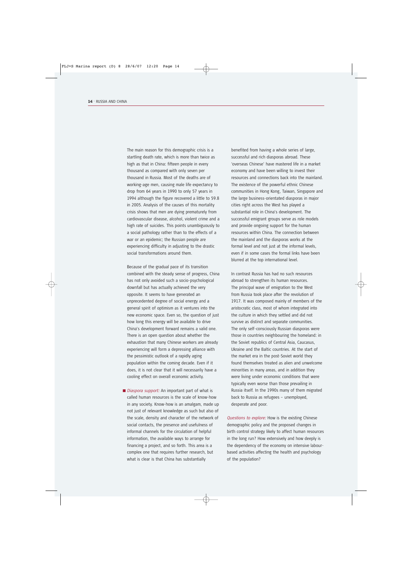The main reason for this demographic crisis is a startling death rate, which is more than twice as high as that in China: fifteen people in every thousand as compared with only seven per thousand in Russia. Most of the deaths are of working-age men, causing male life expectancy to drop from 64 years in 1990 to only 57 years in 1994 although the figure recovered a little to 59.8 in 2005. Analysis of the causes of this mortality crisis shows that men are dying prematurely from cardiovascular disease, alcohol, violent crime and a high rate of suicides. This points unambiguously to a social pathology rather than to the effects of a war or an epidemic; the Russian people are experiencing difficulty in adjusting to the drastic social transformations around them.

Because of the gradual pace of its transition combined with the steady sense of progress, China has not only avoided such a socio-psychological downfall but has actually achieved the very opposite. It seems to have generated an unprecedented degree of social energy and a general spirit of optimism as it ventures into the new economic space. Even so, the question of just how long this energy will be available to drive China's development forward remains a valid one. There is an open question about whether the exhaustion that many Chinese workers are already experiencing will form a depressing alliance with the pessimistic outlook of a rapidly aging population within the coming decade. Even if it does, it is not clear that it will necessarily have a cooling effect on overall economic activity.

■ *Diaspora support:* An important part of what is called human resources is the scale of know-how in any society. Know-how is an amalgam, made up not just of relevant knowledge as such but also of the scale, density and character of the network of social contacts, the presence and usefulness of informal channels for the circulation of helpful information, the available ways to arrange for financing a project, and so forth. This area is a complex one that requires further research, but what is clear is that China has substantially

benefited from having a whole series of large, successful and rich diasporas abroad. These 'overseas Chinese' have mastered life in a market economy and have been willing to invest their resources and connections back into the mainland. The existence of the powerful ethnic Chinese communities in Hong Kong, Taiwan, Singapore and the large business-orientated diasporas in major cities right across the West has played a substantial role in China's development. The successful emigrant groups serve as role models and provide ongoing support for the human resources within China. The connection between the mainland and the diasporas works at the formal level and not just at the informal levels, even if in some cases the formal links have been blurred at the top international level.

In contrast Russia has had no such resources abroad to strengthen its human resources. The principal wave of emigration to the West from Russia took place after the revolution of 1917. It was composed mainly of members of the aristocratic class, most of whom integrated into the culture in which they settled and did not survive as distinct and separate communities. The only self-consciously Russian diasporas were those in countries neighbouring the homeland: in the Soviet republics of Central Asia, Caucasus, Ukraine and the Baltic countries. At the start of the market era in the post-Soviet world they found themselves treated as alien and unwelcome minorities in many areas, and in addition they were living under economic conditions that were typically even worse than those prevailing in Russia itself. In the 1990s many of them migrated back to Russia as refugees – unemployed, desperate and poor.

*Questions to explore:* How is the existing Chinese demographic policy and the proposed changes in birth control strategy likely to affect human resources in the long run? How extensively and how deeply is the dependency of the economy on intensive labourbased activities affecting the health and psychology of the population?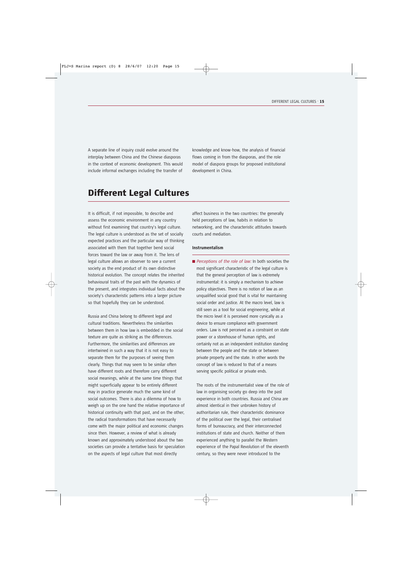A separate line of inquiry could evolve around the interplay between China and the Chinese diasporas in the context of economic development. This would include informal exchanges including the transfer of

knowledge and know-how, the analysis of financial flows coming in from the diasporas, and the role model of diaspora groups for proposed institutional development in China.

### Different Legal Cultures

It is difficult, if not impossible, to describe and assess the economic environment in any country without first examining that country's legal culture. The legal culture is understood as the set of socially expected practices and the particular way of thinking associated with them that together bend social forces toward the law or away from it. The lens of legal culture allows an observer to see a current society as the end product of its own distinctive historical evolution. The concept relates the inherited behavioural traits of the past with the dynamics of the present, and integrates individual facts about the society's characteristic patterns into a larger picture so that hopefully they can be understood.

Russia and China belong to different legal and cultural traditions. Nevertheless the similarities between them in how law is embedded in the social texture are quite as striking as the differences. Furthermore, the similarities and differences are intertwined in such a way that it is not easy to separate them for the purposes of seeing them clearly. Things that may seem to be similar often have different roots and therefore carry different social meanings, while at the same time things that might superficially appear to be entirely different may in practice generate much the same kind of social outcomes. There is also a dilemma of how to weigh up on the one hand the relative importance of historical continuity with that past, and on the other, the radical transformations that have necessarily come with the major political and economic changes since then. However, a review of what is already known and approximately understood about the two societies can provide a tentative basis for speculation on the aspects of legal culture that most directly

affect business in the two countries: the generally held perceptions of law, habits in relation to networking, and the characteristic attitudes towards courts and mediation.

#### **Instrumentalism**

■ *Perceptions of the role of law:* In both societies the most significant characteristic of the legal culture is that the general perception of law is extremely instrumental: it is simply a mechanism to achieve policy objectives. There is no notion of law as an unqualified social good that is vital for maintaining social order and justice. At the macro level, law is still seen as a tool for social engineering, while at the micro level it is perceived more cynically as a device to ensure compliance with government orders. Law is not perceived as a constraint on state power or a storehouse of human rights, and certainly not as an independent institution standing between the people and the state or between private property and the state. In other words the concept of law is reduced to that of a means serving specific political or private ends.

The roots of the instrumentalist view of the role of law in organising society go deep into the past experience in both countries. Russia and China are almost identical in their unbroken history of authoritarian rule, their characteristic dominance of the political over the legal, their centralised forms of bureaucracy, and their interconnected institutions of state and church. Neither of them experienced anything to parallel the Western experience of the Papal Revolution of the eleventh century, so they were never introduced to the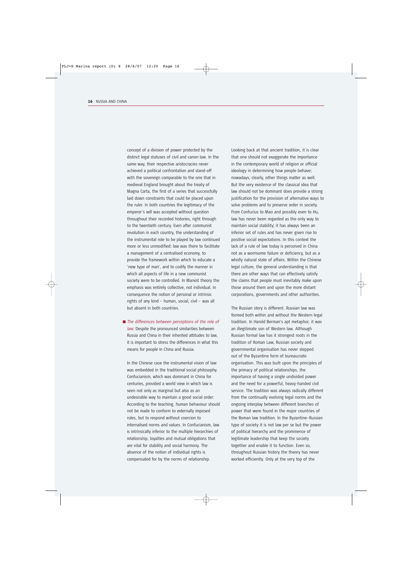concept of a division of power protected by the distinct legal statuses of civil and canon law. In the same way, their respective aristocracies never achieved a political confrontation and stand-off with the sovereign comparable to the one that in medieval England brought about the treaty of Magna Carta, the first of a series that successfully laid down constraints that could be placed upon the ruler. In both countries the legitimacy of the emperor's will was accepted without question throughout their recorded histories, right through to the twentieth century. Even after communist revolution in each country, the understanding of the instrumental role to be played by law continued more or less unmodified: law was there to facilitate a management of a centralised economy, to provide the framework within which to educate a 'new type of man', and to codify the manner in which all aspects of life in a new communist society were to be controlled. In Marxist theory the emphasis was entirely collective, not individual. In consequence the notion of personal or intrinsic rights of any kind – human, social, civil – was all but absent in both countries.

■ *The differences between perceptions of the role of law:* Despite the pronounced similarities between Russia and China in their inherited attitudes to law, it is important to stress the differences in what this means for people in China and Russia.

In the Chinese case the instrumental vision of law was embedded in the traditional social philosophy. Confucianism, which was dominant in China for centuries, provided a world view in which law is seen not only as marginal but also as an undesirable way to maintain a good social order. According to the teaching, human behaviour should not be made to conform to externally imposed rules, but to respond without coercion to internalised norms and values. In Confucianism, law is intrinsically inferior to the multiple hierarchies of relationship, loyalties and mutual obligations that are vital for stability and social harmony. The absence of the notion of individual rights is compensated for by the norms of relationship.

Looking back at that ancient tradition, it is clear that one should not exaggerate the importance in the contemporary world of religion or official ideology in determining how people behave; nowadays, clearly, other things matter as well. But the very existence of the classical idea that law should not be dominant does provide a strong justification for the provision of alternative ways to solve problems and to preserve order in society. From Confucius to Mao and possibly even to Hu, law has never been regarded as the only way to maintain social stability; it has always been an inferior set of rules and has never given rise to positive social expectations. In this context the lack of a rule of law today is perceived in China not as a worrisome failure or deficiency, but as a wholly natural state of affairs. Within the Chinese legal culture, the general understanding is that there are other ways that can effectively satisfy the claims that people must inevitably make upon those around them and upon the more distant corporations, governments and other authorities.

The Russian story is different. Russian law was formed both within and without the Western legal tradition. In Harold Berman's apt metaphor, it was an illegitimate son of Western law. Although Russian formal law has it strongest roots in the tradition of Roman Law, Russian society and governmental organisation has never stepped out of the Byzantine form of bureaucratic organisation. This was built upon the principles of the primacy of political relationships, the importance of having a single undivided power and the need for a powerful, heavy-handed civil service. The tradition was always radically different from the continually evolving legal norms and the ongoing interplay between different branches of power that were found in the major countries of the Roman law tradition. In the Byzantine–Russian type of society it is not law per se but the power of political hierarchy and the prominence of legitimate leadership that keep the society together and enable it to function. Even so, throughout Russian history the theory has never worked efficiently. Only at the very top of the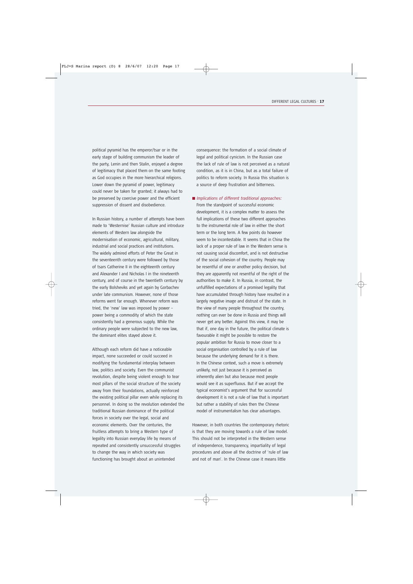political pyramid has the emperor/tsar or in the early stage of building communism the leader of the party, Lenin and then Stalin, enjoyed a degree of legitimacy that placed them on the same footing as God occupies in the more hierarchical religions. Lower down the pyramid of power, legitimacy could never be taken for granted; it always had to be preserved by coercive power and the efficient suppression of dissent and disobedience.

In Russian history, a number of attempts have been made to 'Westernise' Russian culture and introduce elements of Western law alongside the modernisation of economic, agricultural, military, industrial and social practices and institutions. The widely admired efforts of Peter the Great in the seventeenth century were followed by those of tsars Catherine II in the eighteenth century and Alexander I and Nicholas I in the nineteenth century, and of course in the twentieth century by the early Bolsheviks and yet again by Gorbachev under late communism. However, none of those reforms went far enough. Whenever reform was tried, the 'new' law was imposed by power – power being a commodity of which the state consistently had a generous supply. While the ordinary people were subjected to the new law, the dominant elites stayed above it.

Although each reform did have a noticeable impact, none succeeded or could succeed in modifying the fundamental interplay between law, politics and society. Even the communist revolution, despite being violent enough to tear most pillars of the social structure of the society away from their foundations, actually reinforced the existing political pillar even while replacing its personnel. In doing so the revolution extended the traditional Russian dominance of the political forces in society over the legal, social and economic elements. Over the centuries, the fruitless attempts to bring a Western type of legality into Russian everyday life by means of repeated and consistently unsuccessful struggles to change the way in which society was functioning has brought about an unintended

consequence: the formation of a social climate of legal and political cynicism. In the Russian case the lack of rule of law is not perceived as a natural condition, as it is in China, but as a total failure of politics to reform society. In Russia this situation is a source of deep frustration and bitterness.

■ *Implications of different traditional approaches:*

From the standpoint of successful economic development, it is a complex matter to assess the full implications of these two different approaches to the instrumental role of law in either the short term or the long term. A few points do however seem to be incontestable. It seems that in China the lack of a proper rule of law in the Western sense is not causing social discomfort, and is not destructive of the social cohesion of the country. People may be resentful of one or another policy decision, but they are apparently not resentful of the right of the authorities to make it. In Russia, in contrast, the unfulfilled expectations of a promised legality that have accumulated through history have resulted in a largely negative image and distrust of the state. In the view of many people throughout the country, nothing can ever be done in Russia and things will never get any better. Against this view, it may be that if, one day in the future, the political climate is favourable it might be possible to restore the popular ambition for Russia to move closer to a social organisation controlled by a rule of law because the underlying demand for it is there. In the Chinese context, such a move is extremely unlikely, not just because it is perceived as inherently alien but also because most people would see it as superfluous. But if we accept the typical economist's argument that for successful development it is not a rule of law that is important but rather a stability of rules then the Chinese model of instrumentalism has clear advantages.

However, in both countries the contemporary rhetoric is that they are moving towards a rule of law model. This should not be interpreted in the Western sense of independence, transparency, impartiality of legal procedures and above all the doctrine of 'rule of law and not of man'. In the Chinese case it means little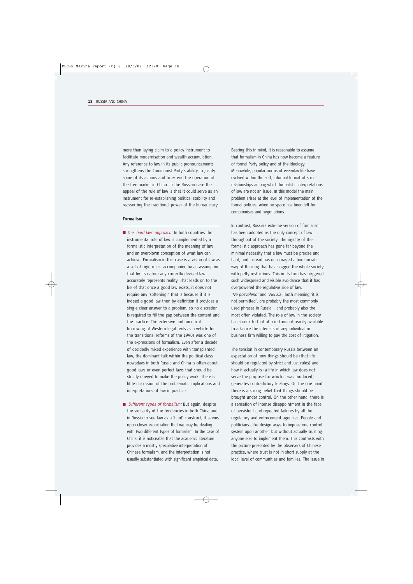more than laying claim to a policy instrument to facilitate modernisation and wealth accumulation. Any reference to law in its public pronouncements strengthens the Communist Party's ability to justify some of its actions and to extend the operation of the free market in China. In the Russian case the appeal of the rule of law is that it could serve as an instrument for re-establishing political stability and reasserting the traditional power of the bureaucracy.

#### **Formalism**

- *The 'hard law' approach:* In both countries the instrumental role of law is complemented by a formalistic interpretation of the meaning of law and an overblown conception of what law can achieve. Formalism in this case is a vision of law as a set of rigid rules, accompanied by an assumption that by its nature any correctly devised law accurately represents reality. That leads on to the belief that once a good law exists, it does not require any 'softening.' That is because if it is indeed a good law then by definition it provides a single clear answer to a problem, so no discretion is required to fill the gap between the content and the practice. The extensive and uncritical borrowing of Western legal texts as a vehicle for the transitional reforms of the 1990s was one of the expressions of formalism. Even after a decade of decidedly mixed experience with transplanted law, the dominant talk within the political class nowadays in both Russia and China is often about good laws or even perfect laws that should be strictly obeyed to make the policy work. There is little discussion of the problematic implications and interpretations of law in practice.
- *Different types of formalism:* But again, despite the similarity of the tendencies in both China and in Russia to see law as a 'hard' construct, it seems upon closer examination that we may be dealing with two different types of formalism. In the case of China, it is noticeable that the academic literature provides a mostly speculative interpretation of Chinese formalism, and the interpretation is not usually substantiated with significant empirical data.

Bearing this in mind, it is reasonable to assume that formalism in China has now become a feature of formal Party policy and of the ideology. Meanwhile, popular norms of everyday life have evolved within the soft, informal format of social relationships among which formalistic interpretations of law are not an issue. In this model the main problem arises at the level of implementation of the formal policies, when no space has been left for compromises and negotiations.

In contrast, Russia's extreme version of formalism has been adopted as the only concept of law throughout of the society. The rigidity of the formalistic approach has gone far beyond the minimal necessity that a law must be precise and hard, and instead has encouraged a bureaucratic way of thinking that has clogged the whole society with petty restrictions. This in its turn has triggered such widespread and visible avoidance that it has overpowered the regulative side of law. *'Ne pozvoleno'* and *'Nel'zia'*, both meaning 'it is not permitted', are probably the most commonly used phrases in Russia – and probably also the most often violated. The role of law in the society has shrunk to that of a instrument readily available to advance the interests of any individual or business firm willing to pay the cost of litigation.

The tension in contemporary Russia between an expectation of how things should be (that life should be regulated by strict and just rules) and how it actually is (a life in which law does not serve the purpose for which it was produced) generates contradictory feelings. On the one hand, there is a strong belief that things should be brought under control. On the other hand, there is a sensation of intense disappointment in the face of persistent and repeated failures by all the regulatory and enforcement agencies. People and politicians alike design ways to impose one control system upon another, but without actually trusting anyone else to implement them. This contrasts with the picture presented by the observers of Chinese practice, where trust is not in short supply at the local level of communities and families. The issue in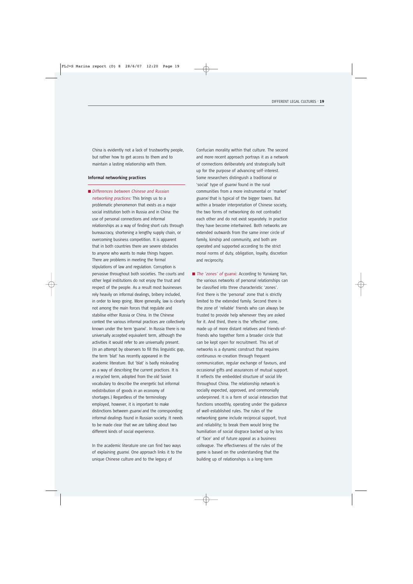China is evidently not a lack of trustworthy people, but rather how to get access to them and to maintain a lasting relationship with them.

#### **Informal networking practices**

■ *Differences between Chinese and Russian networking practices:* This brings us to a problematic phenomenon that exists as a major social institution both in Russia and in China: the use of personal connections and informal relationships as a way of finding short cuts through bureaucracy, shortening a lengthy supply chain, or overcoming business competition. It is apparent that in both countries there are severe obstacles to anyone who wants to make things happen. There are problems in meeting the formal stipulations of law and regulation. Corruption is pervasive throughout both societies. The courts and other legal institutions do not enjoy the trust and respect of the people. As a result most businesses rely heavily on informal dealings, bribery included, in order to keep going. More generally, law is clearly not among the main forces that regulate and stabilise either Russia or China. In the Chinese context the various informal practices are collectively known under the term 'guanxi'. In Russia there is no universally accepted equivalent term, although the activities it would refer to are universally present. (In an attempt by observers to fill this linguistic gap, the term 'blat' has recently appeared in the academic literature. But 'blat' is badly misleading as a way of describing the current practices. It is a recycled term, adopted from the old Soviet vocabulary to describe the energetic but informal redistribution of goods in an economy of shortages.) Regardless of the terminology employed, however, it is important to make distinctions between *guanxi* and the corresponding informal dealings found in Russian society. It needs to be made clear that we are talking about two different kinds of social experience.

In the academic literature one can find two ways of explaining *guanxi*. One approach links it to the unique Chinese culture and to the legacy of

Confucian morality within that culture. The second and more recent approach portrays it as a network of connections deliberately and strategically built up for the purpose of advancing self-interest. Some researchers distinguish a traditional or 'social' type of *guanxi* found in the rural communities from a more instrumental or 'market' *guanxi* that is typical of the bigger towns. But within a broader interpretation of Chinese society, the two forms of networking do not contradict each other and do not exist separately. In practice they have become intertwined. Both networks are extended outwards from the same inner circle of family, kinship and community, and both are operated and supported according to the strict moral norms of duty, obligation, loyalty, discretion and reciprocity.

■ *The 'zones' of guanxi: According to Yunxiang Yan,* the various networks of personal relationships can be classified into three characteristic 'zones'. First there is the 'personal' zone that is strictly limited to the extended family. Second there is the zone of 'reliable' friends who can always be trusted to provide help whenever they are asked for it. And third, there is the 'effective' zone, made up of more distant relatives and friends-offriends who together form a broader circle that can be kept open for recruitment. This set of networks is a dynamic construct that requires continuous re-creation through frequent communication, regular exchange of favours, and occasional gifts and assurances of mutual support. It reflects the embedded structure of social life throughout China. The relationship network is socially expected, approved, and ceremonially underpinned. It is a form of social interaction that functions smoothly, operating under the guidance of well-established rules. The rules of the networking game include reciprocal support, trust and reliability; to break them would bring the humiliation of social disgrace backed up by loss of 'face' and of future appeal as a business colleague. The effectiveness of the rules of the game is based on the understanding that the building up of relationships is a long-term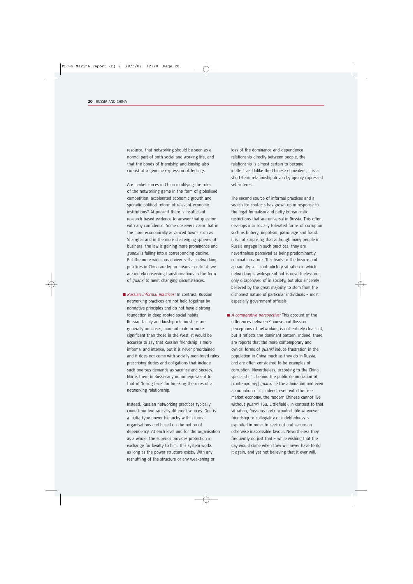resource, that networking should be seen as a normal part of both social and working life, and that the bonds of friendship and kinship also consist of a genuine expression of feelings.

Are market forces in China modifying the rules of the networking game in the form of globalised competition, accelerated economic growth and sporadic political reform of relevant economic institutions? At present there is insufficient research-based evidence to answer that question with any confidence. Some observers claim that in the more economically advanced towns such as Shanghai and in the more challenging spheres of business, the law is gaining more prominence and *guanxi* is falling into a corresponding decline. But the more widespread view is that networking practices in China are by no means in retreat; we are merely observing transformations in the form of *guanxi* to meet changing circumstances.

■ *Russian informal practices:* In contrast, Russian networking practices are not held together by normative principles and do not have a strong foundation in deep-rooted social habits. Russian family and kinship relationships are generally no closer, more intimate or more significant than those in the West. It would be accurate to say that Russian friendship is more informal and intense, but it is never preordained and it does not come with socially monitored rules prescribing duties and obligations that include such onerous demands as sacrifice and secrecy. Nor is there in Russia any notion equivalent to that of 'losing face' for breaking the rules of a networking relationship.

Instead, Russian networking practices typically come from two radically different sources. One is a mafia-type power hierarchy within formal organisations and based on the notion of dependency. At each level and for the organisation as a whole, the superior provides protection in exchange for loyalty to him. This system works as long as the power structure exists. With any reshuffling of the structure or any weakening or

loss of the dominance-and-dependence relationship directly between people, the relationship is almost certain to become ineffective. Unlike the Chinese equivalent, it is a short-term relationship driven by openly expressed self-interest.

The second source of informal practices and a search for contacts has grown up in response to the legal formalism and petty bureaucratic restrictions that are universal in Russia. This often develops into socially tolerated forms of corruption such as bribery, nepotism, patronage and fraud. It is not surprising that although many people in Russia engage in such practices, they are nevertheless perceived as being predominantly criminal in nature. This leads to the bizarre and apparently self-contradictory situation in which networking is widespread but is nevertheless not only disapproved of in society, but also sincerely believed by the great majority to stem from the dishonest nature of particular individuals – most especially government officials.

■ *A comparative perspective:* This account of the differences between Chinese and Russian perceptions of networking is not entirely clear-cut, but it reflects the dominant pattern. Indeed, there are reports that the more contemporary and cynical forms of *guanxi* induce frustration in the population in China much as they do in Russia, and are often considered to be examples of corruption. Nevertheless, according to the China specialists,'… behind the public denunciation of [contemporary] *guanxi* lie the admiration and even approbation of it; indeed, even with the free market economy, the modern Chinese cannot live without *guanxi*' (Su, Littlefield). In contrast to that situation, Russians feel uncomfortable whenever friendship or collegiality or indebtedness is exploited in order to seek out and secure an otherwise inaccessible favour. Nevertheless they frequently do just that – while wishing that the day would come when they will never have to do it again, and yet not believing that it ever will.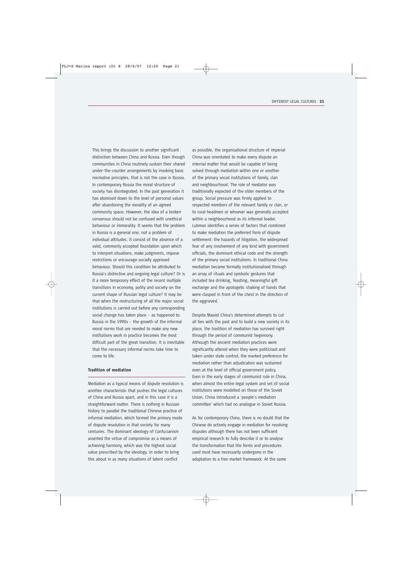This brings the discussion to another significant distinction between China and Russia. Even though communities in China routinely sustain their shared under-the-counter arrangements by invoking basic normative principles, that is not the case in Russia. In contemporary Russia the moral structure of society has disintegrated. In the past generation it has atomised down to the level of personal values after abandoning the morality of an agreed community space. However, the idea of a broken consensus should not be confused with unethical behaviour or immorality. It seems that the problem in Russia is a general one, not a problem of individual attitudes. It consist of the absence of a valid, commonly accepted foundation upon which to interpret situations, make judgments, impose restrictions or encourage socially approved behaviour. Should this condition be attributed to Russia's distinctive and ongoing legal culture? Or is it a more temporary effect of the recent multiple transitions in economy, polity and society on the current shape of Russian legal culture? It may be that when the restructuring of all the major social institutions is carried out before any corresponding social change has taken place – as happened to Russia in the 1990s – the growth of the informal moral norms that are needed to make any new institutions work in practice becomes the most difficult part of the great transition. It is inevitable that the necessary informal norms take time to come to life.

#### **Tradition of mediation**

Mediation as a typical means of dispute resolution is another characteristic that pushes the legal cultures of China and Russia apart, and in this case it is a straightforward matter. There is nothing in Russian history to parallel the traditional Chinese practice of informal mediation, which formed the primary mode of dispute resolution in that society for many centuries. The dominant ideology of Confucianism asserted the virtue of compromise as a means of achieving harmony, which was the highest social value prescribed by the ideology. In order to bring this about in as many situations of latent conflict

as possible, the organisational structure of imperial China was orientated to make every dispute an internal matter that would be capable of being solved through mediation within one or another of the primary social institutions of family, clan and neighbourhood. The role of mediator was traditionally expected of the older members of the group. Social pressure was firmly applied to respected members of the relevant family or clan, or to rural headmen or whoever was generally accepted within a neighbourhood as its informal leader. Lubman identifies a series of factors that combined to make mediation the preferred form of dispute settlement: the hazards of litigation, the widespread fear of any involvement of any kind with government officials, the dominant ethical code and the strength of the primary social institutions. In traditional China mediation became formally institutionalised through an array of rituals and symbolic gestures that included tea drinking, feasting, meaningful gift exchange and the apologetic shaking of hands that were clasped in front of the chest in the direction of the aggrieved.

Despite Maoist China's determined attempts to cut all ties with the past and to build a new society in its place, the tradition of mediation has survived right through the period of communist hegemony. Although the ancient mediation practices were significantly altered when they were politicised and taken under state control, the marked preference for mediation rather than adjudication was sustained even at the level of official government policy. Even in the early stages of communist rule in China, when almost the entire legal system and set of social institutions were modelled on those of the Soviet Union, China introduced a 'people's mediation committee' which had no analogue in Soviet Russia.

As for contemporary China, there is no doubt that the Chinese do actively engage in mediation for resolving disputes although there has not been sufficient empirical research to fully describe it or to analyse the transformation that the forms and procedures used must have necessarily undergone in the adaptation to a free market framework. At the same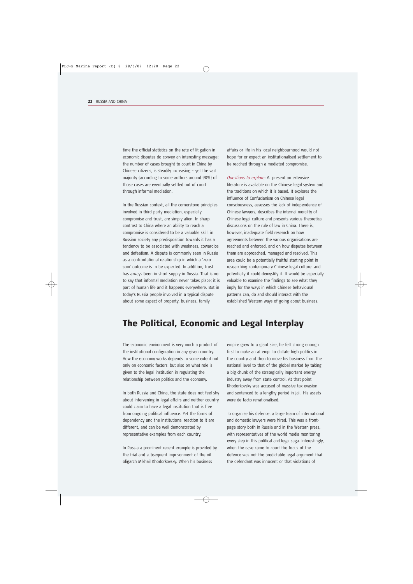time the official statistics on the rate of litigation in economic disputes do convey an interesting message: the number of cases brought to court in China by Chinese citizens, is steadily increasing – yet the vast majority (according to some authors around 90%) of those cases are eventually settled out of court through informal mediation.

In the Russian context, all the cornerstone principles involved in third-party mediation, especially compromise and trust, are simply alien. In sharp contrast to China where an ability to reach a compromise is considered to be a valuable skill, in Russian society any predisposition towards it has a tendency to be associated with weakness, cowardice and defeatism. A dispute is commonly seen in Russia as a confrontational relationship in which a 'zerosum' outcome is to be expected. In addition, trust has always been in short supply in Russia. That is not to say that informal mediation never takes place; it is part of human life and it happens everywhere. But in today's Russia people involved in a typical dispute about some aspect of property, business, family

affairs or life in his local neighbourhood would not hope for or expect an institutionalised settlement to be reached through a mediated compromise.

*Questions to explore:* At present an extensive literature is available on the Chinese legal system and the traditions on which it is based. It explores the influence of Confucianism on Chinese legal consciousness, assesses the lack of independence of Chinese lawyers, describes the internal morality of Chinese legal culture and presents various theoretical discussions on the rule of law in China. There is, however, inadequate field research on how agreements between the various organisations are reached and enforced, and on how disputes between them are approached, managed and resolved. This area could be a potentially fruitful starting point in researching contemporary Chinese legal culture, and potentially it could demystify it. It would be especially valuable to examine the findings to see what they imply for the ways in which Chinese behavioural patterns can, do and should interact with the established Western ways of going about business.

## The Political, Economic and Legal Interplay

The economic environment is very much a product of the institutional configuration in any given country. How the economy works depends to some extent not only on economic factors, but also on what role is given to the legal institution in regulating the relationship between politics and the economy.

In both Russia and China, the state does not feel shy about intervening in legal affairs and neither country could claim to have a legal institution that is free from ongoing political influence. Yet the forms of dependency and the institutional reaction to it are different, and can be well demonstrated by representative examples from each country.

In Russia a prominent recent example is provided by the trial and subsequent imprisonment of the oil oligarch Mikhail Khodorkovsky. When his business

empire grew to a giant size, he felt strong enough first to make an attempt to dictate high politics in the country and then to move his business from the national level to that of the global market by taking a big chunk of the strategically important energy industry away from state control. At that point Khodorkovsky was accused of massive tax evasion and sentenced to a lengthy period in jail. His assets were de facto renationalised.

To organise his defence, a large team of international and domestic lawyers were hired. This was a frontpage story both in Russia and in the Western press, with representatives of the world media monitoring every step in this political and legal saga. Interestingly, when the case came to court the focus of the defence was not the predictable legal argument that the defendant was innocent or that violations of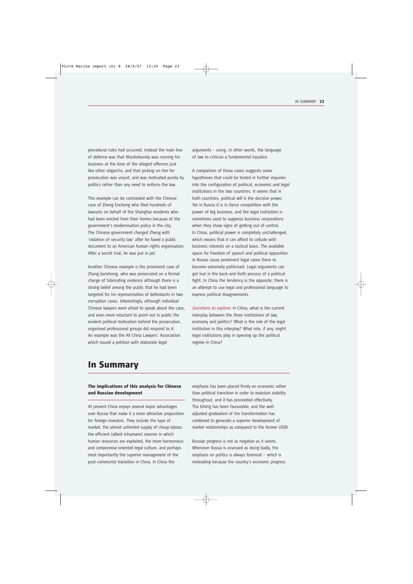procedural rules had occurred. Instead the main line of defence was that Khodorkovsky was running his business at the time of the alleged offences just like other oligarchs, and that picking on him for prosecution was unjust, and was motivated purely by politics rather than any need to enforce the law.

This example can be contrasted with the Chinese case of Zheng Enchong who filed hundreds of lawsuits on behalf of the Shanghai residents who had been evicted from their homes because of the government's modernisation policy in the city. The Chinese government charged Zheng with 'violation of security law' after he faxed a public document to an American human rights organisation. After a secret trial, he was put in jail.

Another Chinese example is the prominent case of Zhang Jianzhong, who was prosecuted on a formal charge of fabricating evidence although there is a strong belief among the public that he had been targeted for his representation of defendants in two corruption cases. Interestingly, although individual Chinese lawyers were afraid to speak about the case, and even more reluctant to point out in public the evident political motivation behind the prosecution, organised professional groups did respond to it. An example was the All China Lawyers' Association which issued a petition with elaborate legal

arguments – using, in other words, the language of law to criticise a fundamental injustice.

A comparison of those cases suggests some hypotheses that could be tested in further inquiries into the configuration of political, economic and legal institutions in the two countries. It seems that in both countries, political will is the decisive power. Yet in Russia it is in fierce competition with the power of big business, and the legal institution is sometimes used to suppress business corporations when they show signs of getting out of control. In China, political power is completely unchallenged, which means that it can afford to collude with business interests on a tactical basis. The available space for freedom of speech and political opposition in Russia cause prominent legal cases there to become extremely politicised. Legal arguments can get lost in the back-and-forth process of a political fight. In China the tendency is the opposite; there is an attempt to use legal and professional language to express political disagreements.

*Questions to explore:* In China, what is the current interplay between the three institutions of law, economy and politics? What is the role of the legal institution in this interplay? What role, if any, might legal institutions play in opening up the political regime in China?

### In Summary

### The implications of this analysis for Chinese and Russian development

At present China enjoys several major advantages over Russia that make it a more attractive proposition for foreign investors. They include the type of market, the almost unlimited supply of cheap labour, the efficient (albeit inhumane) manner in which human resources are exploited, the more harmonious and compromise-oriented legal culture, and perhaps most importantly the superior management of the post-communist transition in China. In China the

emphasis has been placed firmly on economic rather than political transition in order to maintain stability throughout, and it has proceeded effectively. The timing has been favourable, and the welladjusted gradualism of the transformation has combined to generate a superior development of market relationships as compared to the former USSR.

Russian progress is not as negative as it seems. Whenever Russia is assessed as doing badly, the emphasis on politics is always foremost – which is misleading because the country's economic progress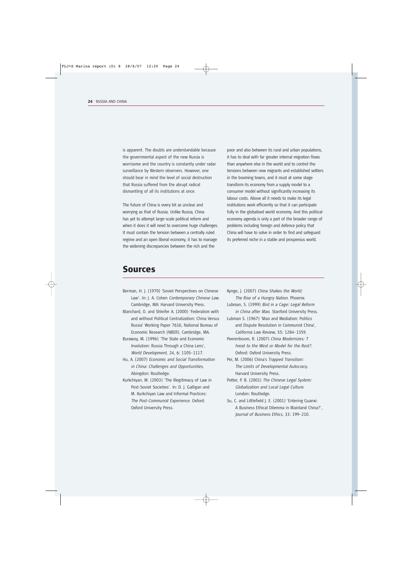is apparent. The doubts are understandable because the governmental aspect of the new Russia is worrisome and the country is constantly under radar surveillance by Western observers. However, one should bear in mind the level of social destruction that Russia suffered from the abrupt radical dismantling of all its institutions at once.

The future of China is every bit as unclear and worrying as that of Russia. Unlike Russia, China has yet to attempt large-scale political reform and when it does it will need to overcome huge challenges. It must contain the tension between a centrally ruled regime and an open liberal economy, it has to manage the widening discrepancies between the rich and the

poor and also between its rural and urban populations, it has to deal with far greater internal migration flows than anywhere else in the world and to control the tensions between new migrants and established settlers in the booming towns, and it must at some stage transform its economy from a supply model to a consumer model without significantly increasing its labour costs. Above all it needs to make its legal institutions work efficiently so that it can participate fully in the globalised world economy. And this politicaleconomy agenda is only a part of the broader range of problems including foreign and defence policy that China will have to solve in order to find and safeguard its preferred niche in a stable and prosperous world.

### Sources

- Berman, H. J. (1970) 'Soviet Perspectives on Chinese Law'. In: J. A. Cohen *Contemporary Chinese Law.* Cambridge, MA: Harvard University Press.
- Blanchard, O. and Shleifer A. (2000) 'Federalism with and without Political Centralization: China Versus Russia' Working Paper 7616, National Bureau of Economic Research (NBER). Cambridge, MA.
- Burawoy, M. (1996) 'The State and Economic Involution: Russia Through a China Lens', *World Development,* 24, 6: 1105–1117.
- Hu, A. (2007) *Economic and Social Transformation in China: Challenges and Opportunities*, Abingdon: Routledge.
- Kurkchiyan, M. (2003) 'The Illegitimacy of Law in Post-Soviet Societies'. In: D. J. Galligan and M. Kurkchiyan Law and Informal Practices: *The Post-Communist Experience*. Oxford: Oxford University Press.
- Kynge, J. (2007) *China Shakes the World: The Rise of a Hungry Nation*. Phoenix.
- Lubman, S. (1999) *Bird in a Cage: Legal Reform in China after Mao*. Stanford University Press.
- Lubman S. (1967) 'Mao and Mediation: Politics and Dispute Resolution in Communist China', *California Law Review*, 55: 1284–1359.
- Peerenboom, R. (2007) *China Modernizes: T hreat to the West or Model for the Rest?*. Oxford: Oxford University Press.
- Pei, M. (2006) China's *Trapped Transition: The Limits of Developmental Autocracy*. Harvard University Press.
- Potter, P. B. (2001) *The Chinese Legal System: Globalization and Local Legal Culture*. London: Routledge.
- Su, C. and Littlefield J. E. (2001) 'Entering Guanxi: A Business Ethical Dilemma in Mainland China?', *Journal of Business Ethics*, 33: 199–210.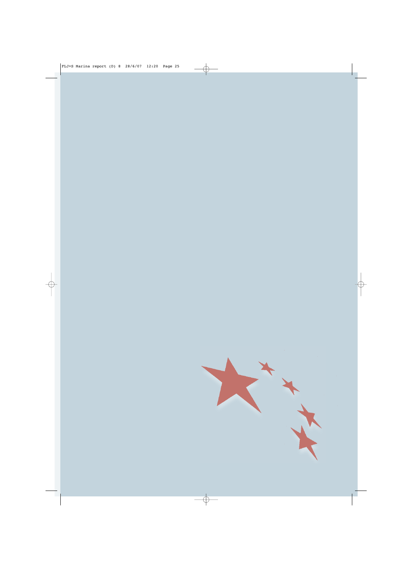